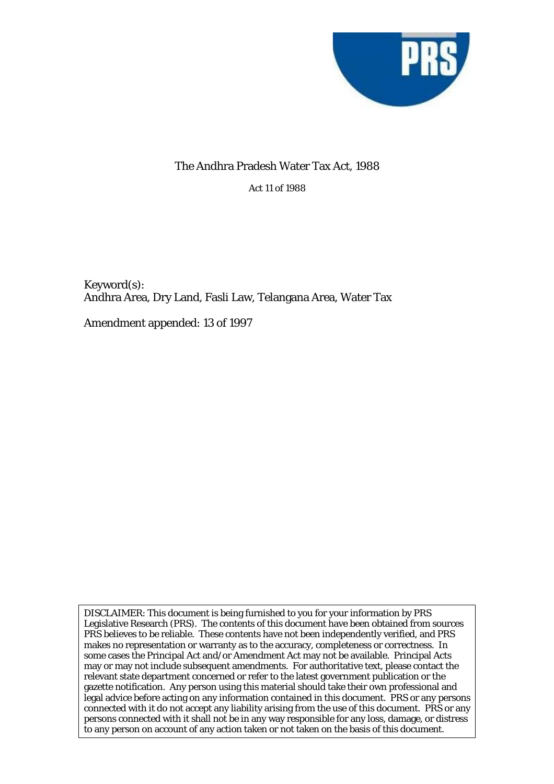

## The Andhra Pradesh Water Tax Act, 1988

Act 11 of 1988

Keyword(s): Andhra Area, Dry Land, Fasli Law, Telangana Area, Water Tax

Amendment appended: 13 of 1997

DISCLAIMER: This document is being furnished to you for your information by PRS Legislative Research (PRS). The contents of this document have been obtained from sources PRS believes to be reliable. These contents have not been independently verified, and PRS makes no representation or warranty as to the accuracy, completeness or correctness. In some cases the Principal Act and/or Amendment Act may not be available. Principal Acts may or may not include subsequent amendments. For authoritative text, please contact the relevant state department concerned or refer to the latest government publication or the gazette notification. Any person using this material should take their own professional and legal advice before acting on any information contained in this document. PRS or any persons connected with it do not accept any liability arising from the use of this document. PRS or any persons connected with it shall not be in any way responsible for any loss, damage, or distress to any person on account of any action taken or not taken on the basis of this document.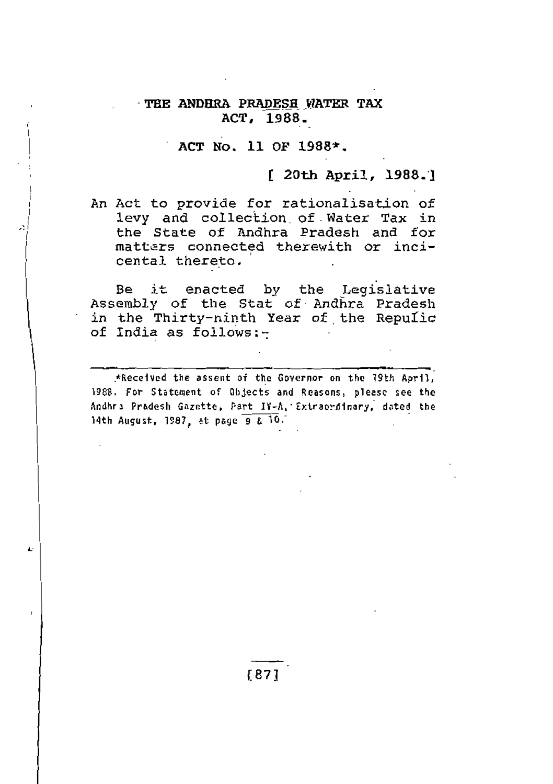#### TEE ANDHRA PRADESH WATER TAX ACT, 1988.

#### ACT No. 11 OF 1988\*.

#### [ 20th April, 1988.]

An Act to provide for rationalisation of levy and collection of Water Tax in the State of Andhra Pradesh and for matters connected therewith or incicental thereto.

Be it enacted by the Legislative Assembly of the Stat of Andhra Pradesh in the Thirty-ninth Year of the Repulic of India as follows:-

\*Received the assent of the Governor on the 79th April, 1988. For Statement of Objects and Reasons, please see the Andhra Pradesh Gazette, Part IV-A, Extraordinary, dated the 14th August, 1987, at page 9 & 10.

Ŀ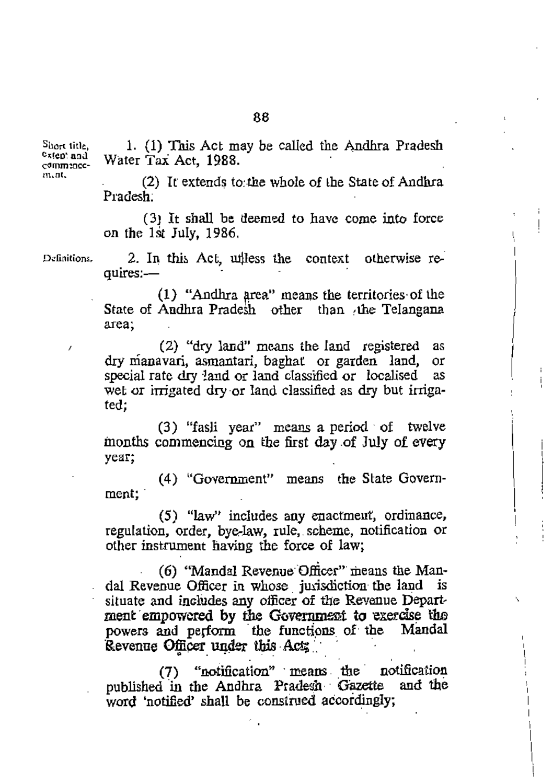Short title,  $c_{x(\text{en: and})}$  $comm:ncc$ m.nt.

1. (1) This Act may be called the Andhra Pradesh Water Tax Act, 1988.

(2) It extends to the whole of the State of Andhra Pradesh:

(3) It shall be deemed to have come into force on the 1st July, 1986.

Definitions.

2. In this Act, unless the context otherwise requires:-

 $(1)$  "Andhra area" means the territories of the State of Andhra Pradesh other than the Telangana area:

(2) "dry land" means the land registered as dry manavari, asmantari, baghat or garden land, 0Ľ special rate dry land or land classified or localised as wet or irrigated dry or land classified as dry but irrigated:

(3) "fasli year" means a period of twelve months commencing on the first day of July of every year;

(4) "Government" means the State Government:

(5) "law" includes any enactment, ordinance, regulation, order, bye-law, rule, scheme, notification or other instrument having the force of law;

(6) "Mandal Revenue Officer" means the Mandal Revenue Officer in whose jurisdiction the land is situate and includes any officer of the Revenue Department empowered by the Government to exercise the powers and perform the functions of the Mandal Revenue Officer under this Act;

(7) "notification" means the notification published in the Andhra Pradesh Gazette and the word 'notified' shall be construed accordingly;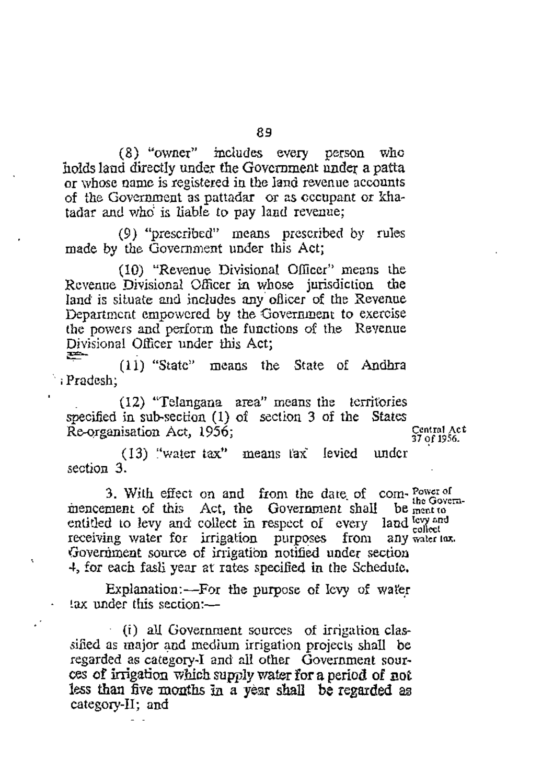(8) "owner" includes every person who holds land directly under the Government under a patta or whose name is registered in the land revenue accounts of the Government as pattadar or as occupant or khatadar and who is liable to pay land revenue:

(9) "prescribed" means prescribed by rules made by the Government under this Act:

(10) "Revenue Divisional Officer" means the Revenue Divisional Officer in whose jurisdiction the land is situate and includes any officer of the Revenue Department empowered by the Government to exercise the powers and perform the functions of the Revenue Divisional Officer under this Act: ຣ

(11) "State" means the State of Andhra : Pradesh:

(12) "Telangana area" means the territories specified in sub-section (1) of section 3 of the States Re-organisation Act, 1956;

Central Act<br>37 of 1956.

(13) "water tax" means tax" levied under section  $3$ .

3. With effect on and from the date of com-Power of the Govern-<br>be ment to mencement of this Act, the Government shall entitled to levy and collect in respect of every land levy and receiving water for irrigation purposes from any water tox. Government source of irrigation notified under section 4, for each fash year at rates specified in the Schedule.

Explanation:---For the purpose of levy of water lax under this section:-

(i) all Government sources of irrigation classified as major and medium irrigation projects shall be regarded as category-I and all other Government sources of irrigation which supply water for a period of not less than five months in a vear shall be regarded as category-II; and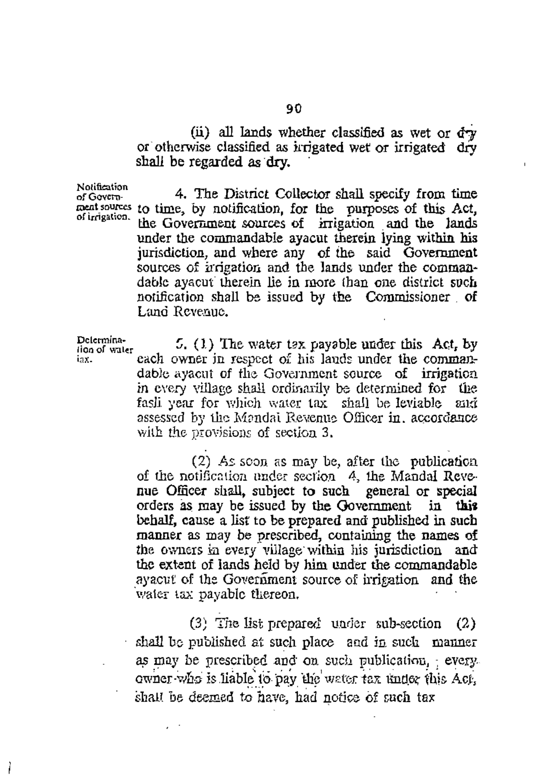(ii) all lands whether classified as wet or dry or otherwise classified as irrigated wet or irrigated dry shall be regarded as dry.

Notification of Governof irrigation.

iax.

4. The District Collector shall specify from time ment sources to time, by notification, for the purposes of this Act, the Government sources of irrigation and the lands under the commandable ayacut therein lying within his jurisdiction, and where any of the said Government sources of irrigation and the lands under the commandable avacut therein lie in more than one district such notification shall be issued by the Commissioner of Land Revenue.

Delermina-5.  $(1)$  The water tax payable under this Act, by lion of water each owner in respect of his lands under the commandable ayacut of the Government source of irrigation in every village shall ordinarily be determined for the fasli year for which water tax shall be leviable and assessed by the Mandal Revenue Officer in, accordance with the provisions of section 3.

> (2) As soon as may be, after the publication of the notification under section 4, the Mandal Revenue Officer shall, subject to such general or special orders as may be issued by the Government in this behalf, cause a list to be prepared and published in such manner as may be prescribed, containing the names of the owners in every village within his jurisdiction and the extent of lands held by him under the commandable ayacut of the Government source of irrigation and the water tax payable thereon.

(3) The list prepared under sub-section  $(2)$ shall be published at such place and in such manner as may be prescribed and on such publication, every owner who is liable to pay the water tax under this Act. shall be deemed to have, had notice of such tax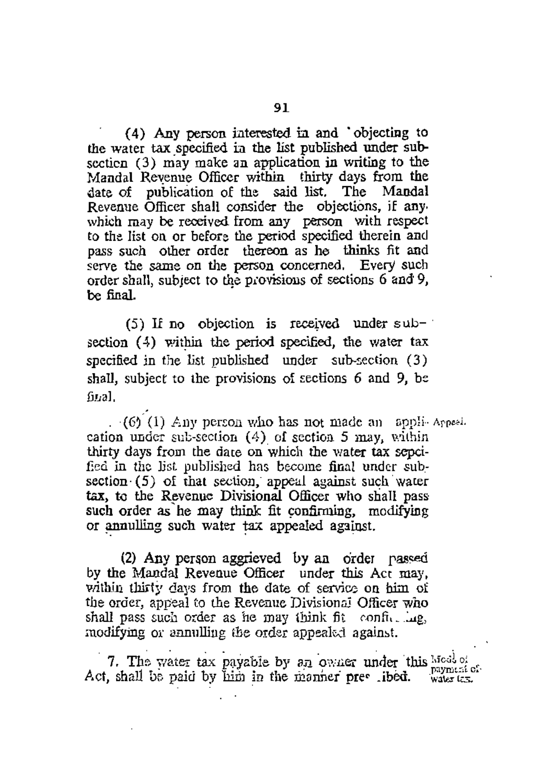(4) Any person interested in and 'objecting to the water tax specified in the list published under subsection (3) may make an application in writing to the Mandal Revenue Officer within thirty days from the date of publication of the said list. The Mandal Revenue Officer shall consider the objections, if any which may be received from any person with respect to the list on or before the period specified therein and pass such other order thereon as he thinks fit and serve the same on the person concerned. Every such order shall, subject to the provisions of sections 6 and 9, be final.

 $(5)$  If no objection is received under subsection (4) within the period specified, the water tax specified in the list published under sub-section (3) shall, subject to the provisions of sections 6 and 9, be  $f<sub>II</sub>$ al.

 $(6)$  (1) Any person who has not made an appli-Appeal. cation under sub-section  $(4)$  of section 5 may, within thirty days from the date on which the water tax sepcifed in the list published has become final under subsection  $(5)$  of that section, appeal against such water tax, to the Revenue Divisional Officer who shall pass such order as he may think fit confirming, modifying or annulling such water tax appealed against.

(2) Any person aggrieved by an order passed by the Mandal Revenue Officer under this Act may, within thirty days from the date of service on him of the order, appeal to the Revenue Divisional Officer who shall pass such order as he may think fit configuring. modifying or annulling the order appealed against.

7. The water tax payable by an owner under this Most of payment of Act, shall be paid by him in the manner pres libed.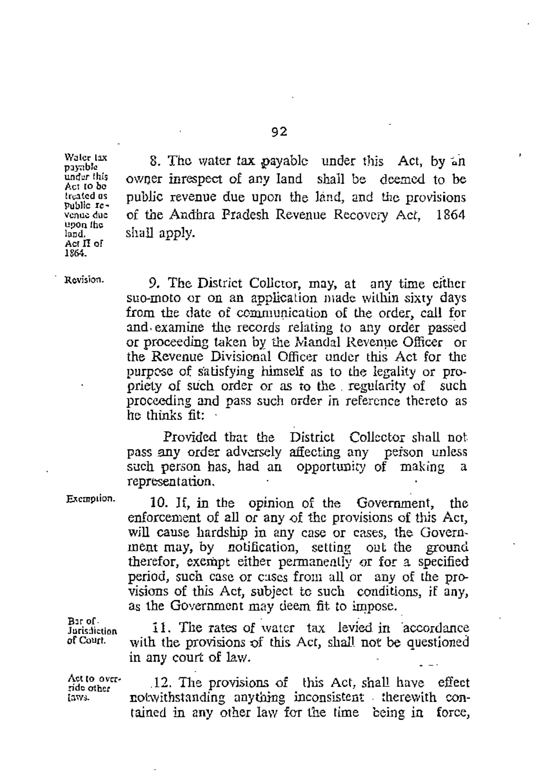Waler lax payable under this Act to be treated as public revenue due upon the  $land.$ Act II of 1864.

8. The water tax payable under this Act, by an owner inrespect of any land shall be deemed to be public revenue due upon the land, and the provisions of the Andhra Pradesh Revenue Recovery Act. 1864 shall apply.

Revision.

9. The District Colletor, may, at any time either suo-moto or on an application made within sixty days from the date of communication of the order, call for and examine the records relating to any order passed or proceeding taken by the Mandal Revenue Officer or the Revenue Divisional Officer under this Act for the purpose of satisfying himself as to the legality or propriety of such order or as to the regularity of such proceeding and pass such order in reference thereto as  $\overline{h}$  thinks fit:

Provided that the District Collector shall not pass any order adversely affecting any person unless such person has, had an opportunity of making a representation.

Exemption.

10. If, in the opinion of the Government, the enforcement of all or any of the provisions of this Act, will cause hardship in any case or cases, the Government may, by notification, setting out the ground therefor, exempt either permanently or for a specified period, such case or cases from all or any of the provisions of this Act, subject to such conditions, if any, as the Government may deem fit to impose.

Bir of Jurisdiction of Court.

11. The rates of water tax levied in 'accordance with the provisions of this Act, shall not be questioned in any court of law.

Act to override other laws.

12. The provisions of this Act, shall have effect notwithstanding anything inconsistent therewith contained in any other law for the time being in force,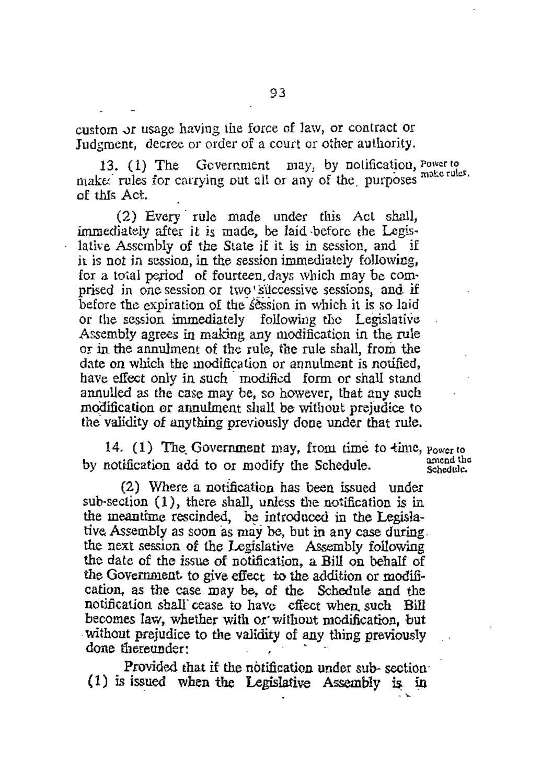custom or usage having the force of law, or contract or Judgment, decree or order of a court or other authority.

13. (1) The Government may, by notification, Power to make rules for carrying out all or any of the purposes make rules. of this Act.

(2) Every rule made under this Act shall, immediately after it is made, be laid before the Legislative Assembly of the State if it is in session, and if it is not in session, in the session immediately following, for a total period of fourteen days which may be comprised in one session or two successive sessions, and if before the expiration of the session in which it is so laid or the session immediately following the Legislative Assembly agrees in making any modification in the rule or in the annulment of the rule, the rule shall, from the date on which the modification or annulment is notified. have effect only in such modified form or shall stand annulled as the case may be, so however, that any such modification or annulment shall be without prejudice to the validity of anything previously done under that rule.

14. (1) The Government may, from time to time,  $_{\text{Power to}}$ by notification add to or modify the Schedule.

(2) Where a notification has been issued under sub-section (1), there shall, unless the notification is in the meantime rescinded, be introduced in the Legislative Assembly as soon as may be, but in any case during. the next session of the Legislative Assembly following the date of the issue of notification, a Bill on behalf of the Government, to give effect to the addition or modification, as the case may be, of the Schedule and the notification shall cease to have effect when such Bill becomes law, whether with or without modification, but without prejudice to the validity of any thing previously done thereunder:

Provided that if the notification under sub-section (1) is issued when the Legislative Assembly is in

amend the Schedule.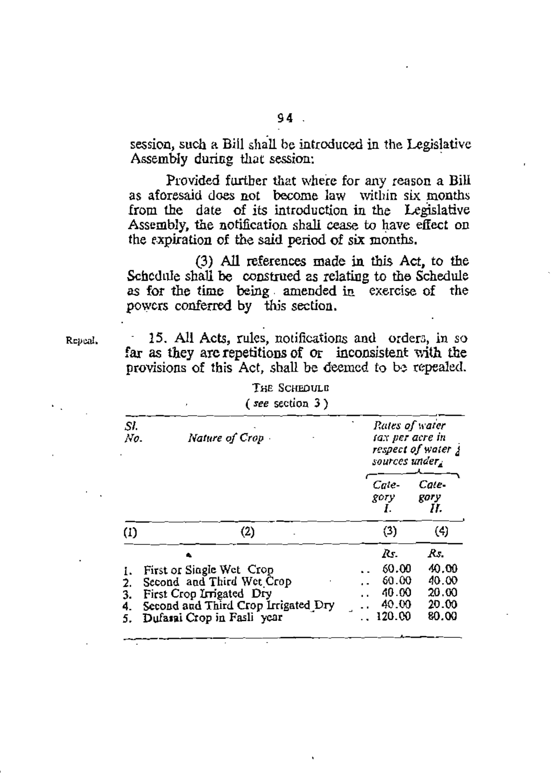session, such a Bill shall be introduced in the Legislative Assembly during that session:

Provided further that where for any reason a Bill as aforesaid does not become law within six months from the date of its introduction in the Legislative Assembly, the notification shall cease to have effect on the expiration of the said period of six months.

(3) All references made in this Act, to the Schedule shall be construed as relating to the Schedule as for the time being amended in exercise of the powers conferred by this section.

Repeal.

15. All Acts, rules, notifications and orders, in so far as they are repetitions of or inconsistent with the provisions of this Act, shall be deemed to be repealed.

| SI.<br>No.                 | Nature of Crop                                                                                                                                         | Rates of water<br>tax per acre in<br>respect of water y<br>sources under, |                                                   |                                                  |
|----------------------------|--------------------------------------------------------------------------------------------------------------------------------------------------------|---------------------------------------------------------------------------|---------------------------------------------------|--------------------------------------------------|
|                            |                                                                                                                                                        |                                                                           | Cate-<br>gory<br>Ι.                               | Cate-<br>gory<br>Н.                              |
| $\left( 1\right)$          | (2)                                                                                                                                                    |                                                                           | (3)                                               | (4)                                              |
| ı.<br>2.<br>3.<br>4.<br>5. | First or Single Wet Crop<br>Second and Third Wet Crop<br>First Crop Irrigated Dry<br>Second and Third Crop Irrigated Dry<br>Dufasai Crop in Fasli year |                                                                           | Rs.<br>60.00<br>60.00<br>40.00<br>40.00<br>120.00 | Rs.<br>40.00<br>40.00<br>20.00<br>20.00<br>80.00 |

THE SCHEDULE  $\epsilon$  and continue  $2\lambda$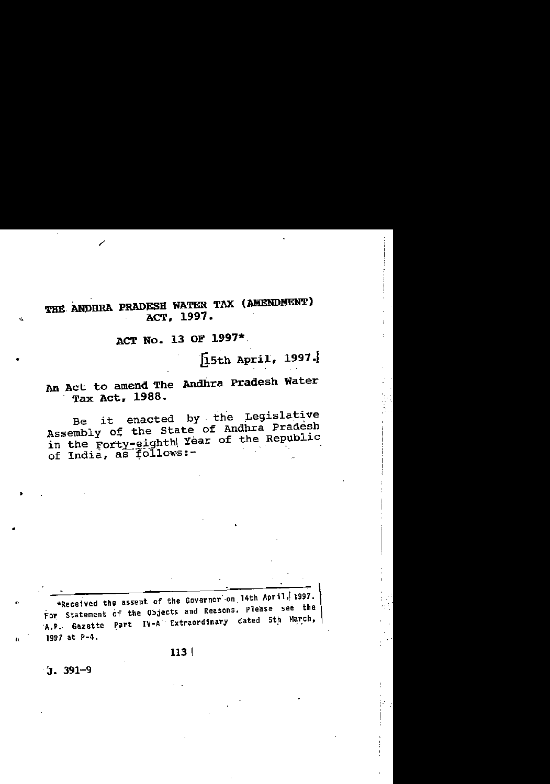### THE ANDHRA PRADESH WATER TAX (AMENDMENT) ACT. 1997.

# ACT No. 13 OF 1997\*.

[15th April, 1997.]

# An Act to amend The Andhra Pradesh Water Tax Act, 1988.

Be it enacted by the Legislative Assembly of the State of Andhra Pradesh in the Forty-eighth Year of the Republic of India, as follows:-

\*Received the assent of the Governor on 14th April, 1997. For Statement of the Objects and Reasons. Please see the A.P. Gazette Part IV-A Extraordinary dated 5th March, 1997 at  $P-4$ .

 $113|$ 

 $3.391 - 9$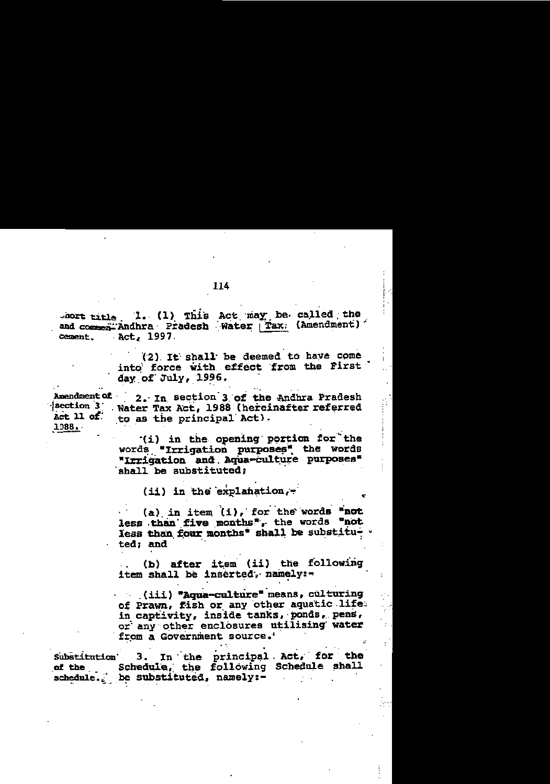(2) It shall be deemed to have come into force with effect from the First day of July, 1996.

Amendment of 2. In section 3 of the Andhra Pradesh section 3 Water Tax Act, 1988 (hereinafter referred Act 11 of to as the principal Act). 1988.

> (i) in the opening portion for the words "Irrigation purposes" the words "Irrigation and Aqua-culture purposes" shall be substituted:

> > $(ii)$  in the explanation.

(a) in item  $(i)$ , for the words "not less than five months", the words "not less than four months" shall be substitu- .  $\cdot$  ted; and

(b) after item (ii) the following item shall be inserted, namely:-

(iii) "Aqua-culture" means, culturing of Prawn, fish or any other aquatic life. in captivity, inside tanks, ponds, pens, or any other enclosures utilising water from a Government source.'

Substitution 3. In the principal Act, for the of the Schedule, the following Schedule shall schedule. be substituted, namely:-